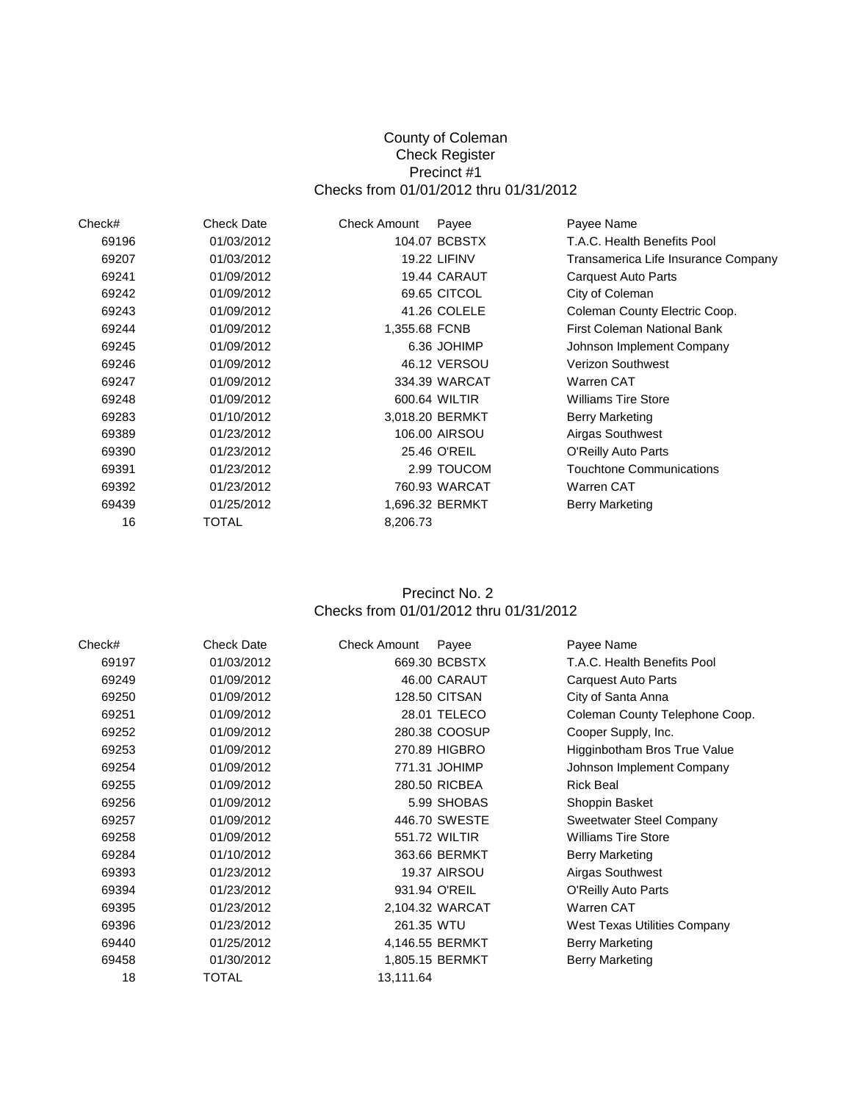#### County of Coleman Check Register Precinct #1 Checks from 01/01/2012 thru 01/31/2012

| Check# | <b>Check Date</b> | <b>Check Amount</b> | Payee               | Payee Name                          |
|--------|-------------------|---------------------|---------------------|-------------------------------------|
| 69196  | 01/03/2012        |                     | 104.07 BCBSTX       | T.A.C. Health Benefits Pool         |
| 69207  | 01/03/2012        |                     | <b>19.22 LIFINV</b> | Transamerica Life Insurance Company |
| 69241  | 01/09/2012        |                     | 19.44 CARAUT        | Carquest Auto Parts                 |
| 69242  | 01/09/2012        |                     | 69.65 CITCOL        | City of Coleman                     |
| 69243  | 01/09/2012        |                     | 41.26 COLELE        | Coleman County Electric Coop.       |
| 69244  | 01/09/2012        | 1,355.68 FCNB       |                     | First Coleman National Bank         |
| 69245  | 01/09/2012        |                     | 6.36 JOHIMP         | Johnson Implement Company           |
| 69246  | 01/09/2012        |                     | 46.12 VERSOU        | <b>Verizon Southwest</b>            |
| 69247  | 01/09/2012        |                     | 334.39 WARCAT       | <b>Warren CAT</b>                   |
| 69248  | 01/09/2012        |                     | 600.64 WILTIR       | <b>Williams Tire Store</b>          |
| 69283  | 01/10/2012        |                     | 3,018.20 BERMKT     | Berry Marketing                     |
| 69389  | 01/23/2012        |                     | 106.00 AIRSOU       | Airgas Southwest                    |
| 69390  | 01/23/2012        |                     | 25.46 O'REIL        | O'Reilly Auto Parts                 |
| 69391  | 01/23/2012        |                     | 2.99 TOUCOM         | <b>Touchtone Communications</b>     |
| 69392  | 01/23/2012        |                     | 760.93 WARCAT       | Warren CAT                          |
| 69439  | 01/25/2012        |                     | 1,696.32 BERMKT     | Berry Marketing                     |
| 16     | TOTAL             | 8,206.73            |                     |                                     |

### Checks from 01/01/2012 thru 01/31/2012 Precinct No. 2

| Check# | <b>Check Date</b> | Check Amount | Payee                | Payee Name                     |
|--------|-------------------|--------------|----------------------|--------------------------------|
| 69197  | 01/03/2012        |              | 669.30 BCBSTX        | T.A.C. Health Benefits Pool    |
| 69249  | 01/09/2012        |              | 46.00 CARAUT         | Carquest Auto Parts            |
| 69250  | 01/09/2012        |              | <b>128.50 CITSAN</b> | City of Santa Anna             |
| 69251  | 01/09/2012        |              | 28.01 TELECO         | Coleman County Telephone Coop. |
| 69252  | 01/09/2012        |              | 280.38 COOSUP        | Cooper Supply, Inc.            |
| 69253  | 01/09/2012        |              | 270.89 HIGBRO        | Higginbotham Bros True Value   |
| 69254  | 01/09/2012        |              | 771.31 JOHIMP        | Johnson Implement Company      |
| 69255  | 01/09/2012        |              | 280.50 RICBEA        | <b>Rick Beal</b>               |
| 69256  | 01/09/2012        |              | 5.99 SHOBAS          | Shoppin Basket                 |
| 69257  | 01/09/2012        |              | 446.70 SWESTE        | Sweetwater Steel Company       |
| 69258  | 01/09/2012        |              | 551.72 WILTIR        | <b>Williams Tire Store</b>     |
| 69284  | 01/10/2012        |              | 363.66 BERMKT        | <b>Berry Marketing</b>         |
| 69393  | 01/23/2012        |              | <b>19.37 AIRSOU</b>  | Airgas Southwest               |
| 69394  | 01/23/2012        |              | 931.94 O'REIL        | <b>O'Reilly Auto Parts</b>     |
| 69395  | 01/23/2012        |              | 2,104.32 WARCAT      | <b>Warren CAT</b>              |
| 69396  | 01/23/2012        | 261.35 WTU   |                      | West Texas Utilities Company   |
| 69440  | 01/25/2012        |              | 4,146.55 BERMKT      | Berry Marketing                |
| 69458  | 01/30/2012        |              | 1,805.15 BERMKT      | <b>Berry Marketing</b>         |
| 18     | <b>TOTAL</b>      | 13,111.64    |                      |                                |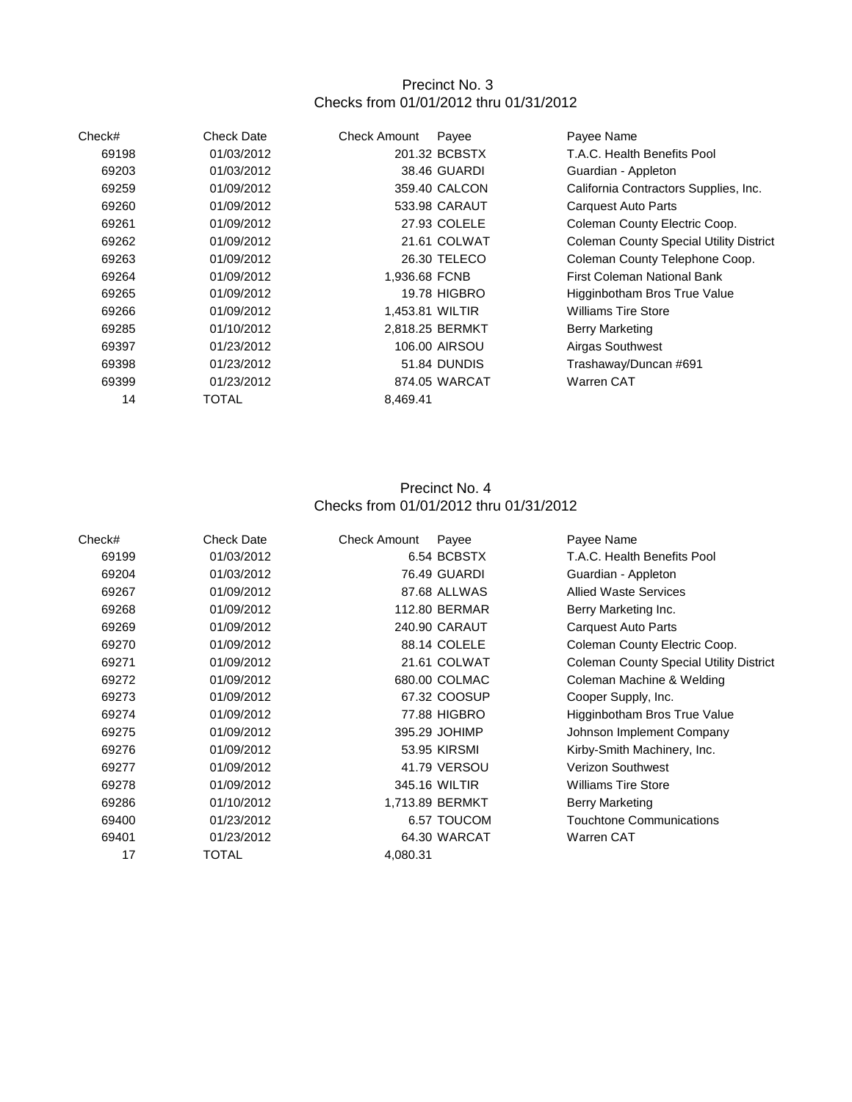## Precinct No. 3 Checks from 01/01/2012 thru 01/31/2012

| Check# | <b>Check Date</b> | <b>Check Amount</b> | Payee               | Payee Name                                     |
|--------|-------------------|---------------------|---------------------|------------------------------------------------|
| 69198  | 01/03/2012        |                     | 201.32 BCBSTX       | T.A.C. Health Benefits Pool                    |
| 69203  | 01/03/2012        |                     | 38.46 GUARDI        | Guardian - Appleton                            |
| 69259  | 01/09/2012        |                     | 359.40 CALCON       | California Contractors Supplies, Inc.          |
| 69260  | 01/09/2012        |                     | 533.98 CARAUT       | Carquest Auto Parts                            |
| 69261  | 01/09/2012        |                     | 27.93 COLELE        | Coleman County Electric Coop.                  |
| 69262  | 01/09/2012        |                     | 21.61 COLWAT        | <b>Coleman County Special Utility District</b> |
| 69263  | 01/09/2012        |                     | 26.30 TELECO        | Coleman County Telephone Coop.                 |
| 69264  | 01/09/2012        | 1,936.68 FCNB       |                     | First Coleman National Bank                    |
| 69265  | 01/09/2012        |                     | <b>19.78 HIGBRO</b> | Higginbotham Bros True Value                   |
| 69266  | 01/09/2012        | 1,453.81 WILTIR     |                     | <b>Williams Tire Store</b>                     |
| 69285  | 01/10/2012        |                     | 2.818.25 BERMKT     | <b>Berry Marketing</b>                         |
| 69397  | 01/23/2012        |                     | 106.00 AIRSOU       | Airgas Southwest                               |
| 69398  | 01/23/2012        |                     | 51.84 DUNDIS        | Trashaway/Duncan #691                          |
| 69399  | 01/23/2012        |                     | 874.05 WARCAT       | Warren CAT                                     |
| 14     | TOTAL             | 8,469.41            |                     |                                                |

# Precinct No. 4 Checks from 01/01/2012 thru 01/31/2012

| Check# | <b>Check Date</b> | <b>Check Amount</b> | Payee                | Payee Name                                     |
|--------|-------------------|---------------------|----------------------|------------------------------------------------|
| 69199  | 01/03/2012        |                     | 6.54 BCBSTX          | T.A.C. Health Benefits Pool                    |
| 69204  | 01/03/2012        |                     | 76.49 GUARDI         | Guardian - Appleton                            |
| 69267  | 01/09/2012        |                     | 87.68 ALLWAS         | <b>Allied Waste Services</b>                   |
| 69268  | 01/09/2012        |                     | <b>112.80 BERMAR</b> | Berry Marketing Inc.                           |
| 69269  | 01/09/2012        |                     | 240.90 CARAUT        | Carquest Auto Parts                            |
| 69270  | 01/09/2012        |                     | 88.14 COLELE         | Coleman County Electric Coop.                  |
| 69271  | 01/09/2012        |                     | 21.61 COLWAT         | <b>Coleman County Special Utility District</b> |
| 69272  | 01/09/2012        |                     | 680.00 COLMAC        | Coleman Machine & Welding                      |
| 69273  | 01/09/2012        |                     | 67.32 COOSUP         | Cooper Supply, Inc.                            |
| 69274  | 01/09/2012        |                     | 77.88 HIGBRO         | Higginbotham Bros True Value                   |
| 69275  | 01/09/2012        |                     | 395.29 JOHIMP        | Johnson Implement Company                      |
| 69276  | 01/09/2012        |                     | 53.95 KIRSMI         | Kirby-Smith Machinery, Inc.                    |
| 69277  | 01/09/2012        |                     | 41.79 VERSOU         | <b>Verizon Southwest</b>                       |
| 69278  | 01/09/2012        |                     | 345.16 WILTIR        | <b>Williams Tire Store</b>                     |
| 69286  | 01/10/2012        |                     | 1,713.89 BERMKT      | <b>Berry Marketing</b>                         |
| 69400  | 01/23/2012        |                     | 6.57 TOUCOM          | <b>Touchtone Communications</b>                |
| 69401  | 01/23/2012        |                     | 64.30 WARCAT         | Warren CAT                                     |
| 17     | TOTAL             | 4,080.31            |                      |                                                |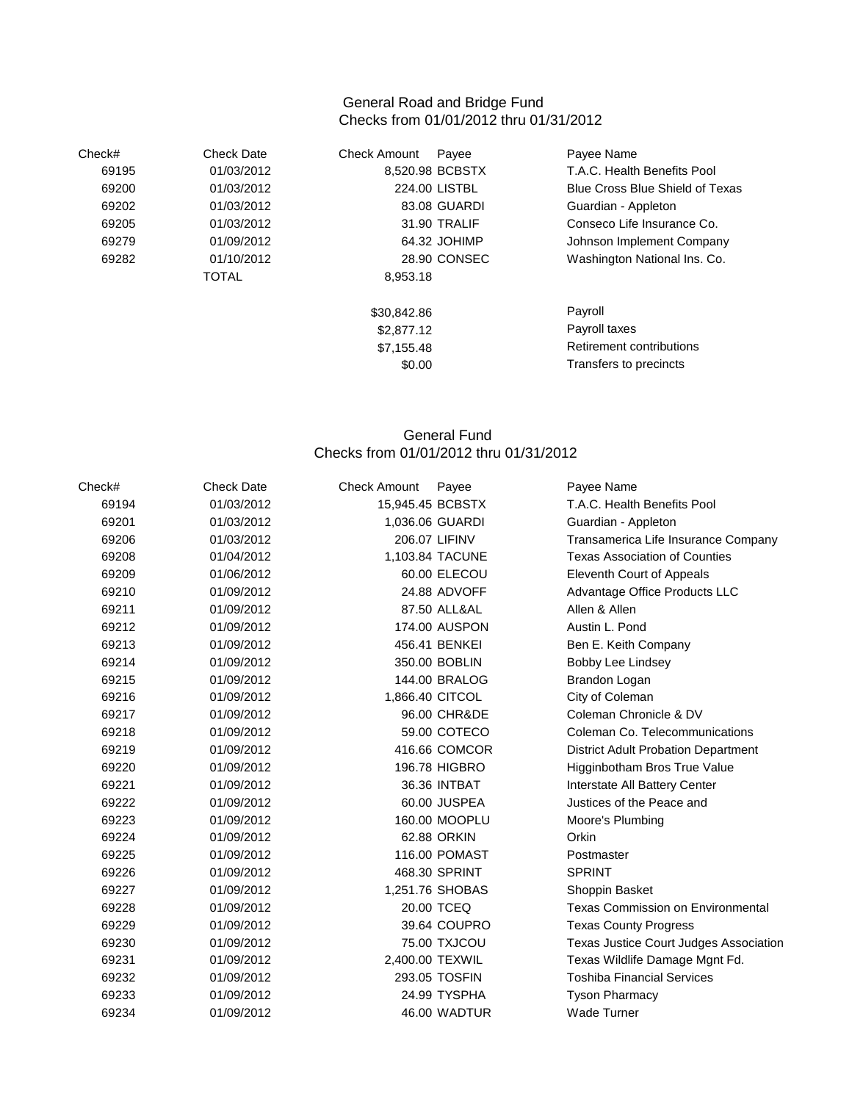#### General Road and Bridge Fund Checks from 01/01/2012 thru 01/31/2012

| Check# | <b>Check Date</b> | <b>Check Amount</b><br>Payee | Payee Name                             |
|--------|-------------------|------------------------------|----------------------------------------|
| 69195  | 01/03/2012        | 8,520.98 BCBSTX              | T.A.C. Health Benefits Pool            |
| 69200  | 01/03/2012        | 224.00 LISTBL                | <b>Blue Cross Blue Shield of Texas</b> |
| 69202  | 01/03/2012        | 83.08 GUARDI                 | Guardian - Appleton                    |
| 69205  | 01/03/2012        | 31.90 TRALIF                 | Conseco Life Insurance Co.             |
| 69279  | 01/09/2012        | 64.32 JOHIMP                 | Johnson Implement Company              |
| 69282  | 01/10/2012        | 28.90 CONSEC                 | Washington National Ins. Co.           |
|        | <b>TOTAL</b>      | 8,953.18                     |                                        |
|        |                   | \$30,842.86                  | Payroll                                |
|        |                   | \$2,877.12                   | Payroll taxes                          |
|        |                   | \$7,155.48                   | Retirement contributions               |
|        |                   | \$0.00                       | Transfers to precincts                 |

### General Fund Checks from 01/01/2012 thru 01/31/2012

| Check# | <b>Check Date</b> | <b>Check Amount</b> | Payee           | Payee Name                                 |
|--------|-------------------|---------------------|-----------------|--------------------------------------------|
| 69194  | 01/03/2012        | 15,945.45 BCBSTX    |                 | T.A.C. Health Benefits Pool                |
| 69201  | 01/03/2012        |                     | 1,036.06 GUARDI | Guardian - Appleton                        |
| 69206  | 01/03/2012        |                     | 206.07 LIFINV   | Transamerica Life Insurance Company        |
| 69208  | 01/04/2012        |                     | 1,103.84 TACUNE | <b>Texas Association of Counties</b>       |
| 69209  | 01/06/2012        |                     | 60.00 ELECOU    | Eleventh Court of Appeals                  |
| 69210  | 01/09/2012        |                     | 24.88 ADVOFF    | Advantage Office Products LLC              |
| 69211  | 01/09/2012        |                     | 87.50 ALL&AL    | Allen & Allen                              |
| 69212  | 01/09/2012        |                     | 174.00 AUSPON   | Austin L. Pond                             |
| 69213  | 01/09/2012        |                     | 456.41 BENKEI   | Ben E. Keith Company                       |
| 69214  | 01/09/2012        |                     | 350.00 BOBLIN   | Bobby Lee Lindsey                          |
| 69215  | 01/09/2012        |                     | 144.00 BRALOG   | Brandon Logan                              |
| 69216  | 01/09/2012        |                     | 1,866.40 CITCOL | City of Coleman                            |
| 69217  | 01/09/2012        |                     | 96.00 CHR&DE    | Coleman Chronicle & DV                     |
| 69218  | 01/09/2012        |                     | 59.00 COTECO    | Coleman Co. Telecommunications             |
| 69219  | 01/09/2012        |                     | 416.66 COMCOR   | <b>District Adult Probation Department</b> |
| 69220  | 01/09/2012        |                     | 196.78 HIGBRO   | Higginbotham Bros True Value               |
| 69221  | 01/09/2012        |                     | 36.36 INTBAT    | Interstate All Battery Center              |
| 69222  | 01/09/2012        |                     | 60.00 JUSPEA    | Justices of the Peace and                  |
| 69223  | 01/09/2012        |                     | 160.00 MOOPLU   | Moore's Plumbing                           |
| 69224  | 01/09/2012        |                     | 62.88 ORKIN     | Orkin                                      |
| 69225  | 01/09/2012        |                     | 116.00 POMAST   | Postmaster                                 |
| 69226  | 01/09/2012        |                     | 468.30 SPRINT   | <b>SPRINT</b>                              |
| 69227  | 01/09/2012        |                     | 1,251.76 SHOBAS | Shoppin Basket                             |
| 69228  | 01/09/2012        |                     | 20.00 TCEQ      | <b>Texas Commission on Environmental</b>   |
| 69229  | 01/09/2012        |                     | 39.64 COUPRO    | <b>Texas County Progress</b>               |
| 69230  | 01/09/2012        |                     | 75.00 TXJCOU    | Texas Justice Court Judges Association     |
| 69231  | 01/09/2012        |                     | 2,400.00 TEXWIL | Texas Wildlife Damage Mgnt Fd.             |
| 69232  | 01/09/2012        |                     | 293.05 TOSFIN   | <b>Toshiba Financial Services</b>          |
| 69233  | 01/09/2012        |                     | 24.99 TYSPHA    | <b>Tyson Pharmacy</b>                      |
| 69234  | 01/09/2012        |                     | 46.00 WADTUR    | <b>Wade Turner</b>                         |
|        |                   |                     |                 |                                            |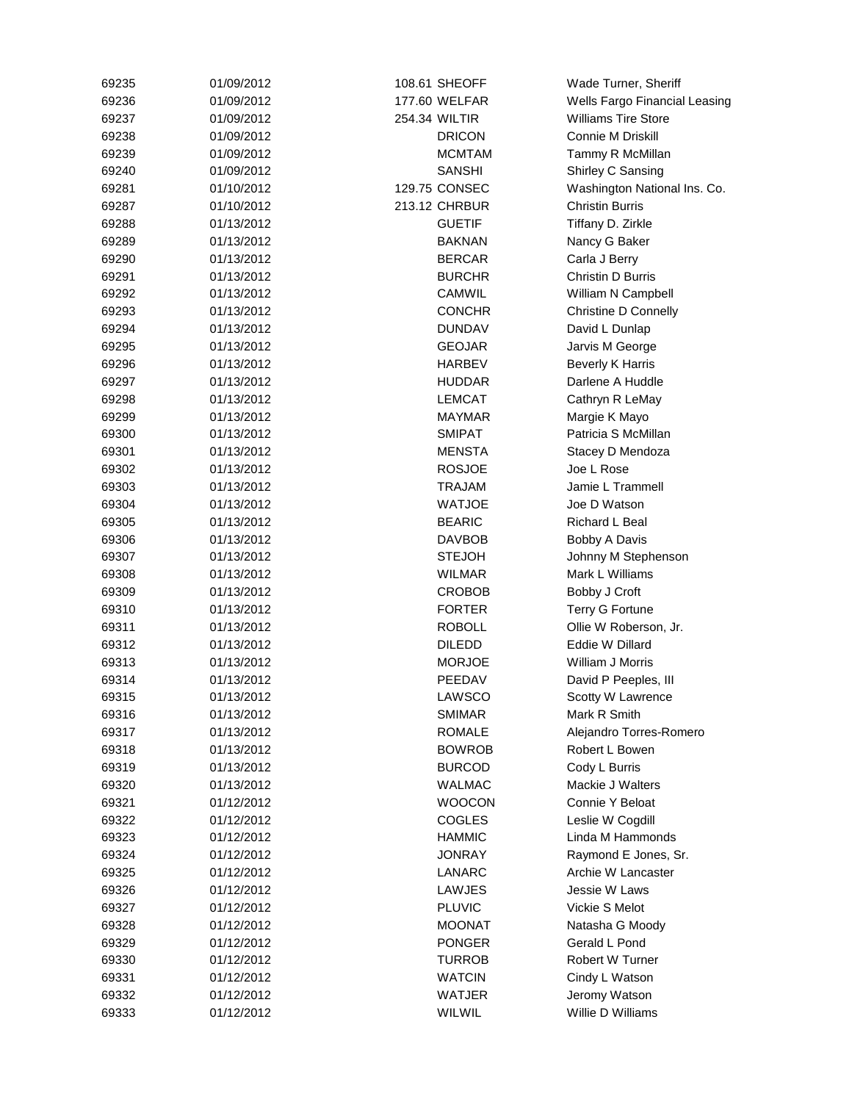| 69235 | 01/09/2012 | 108.61 SHEOFF | Wade Turner, Sheriff          |
|-------|------------|---------------|-------------------------------|
| 69236 | 01/09/2012 | 177.60 WELFAR | Wells Fargo Financial Leasing |
| 69237 | 01/09/2012 | 254.34 WILTIR | <b>Williams Tire Store</b>    |
| 69238 | 01/09/2012 | <b>DRICON</b> | <b>Connie M Driskill</b>      |
| 69239 | 01/09/2012 | <b>MCMTAM</b> | Tammy R McMillan              |
| 69240 | 01/09/2012 | <b>SANSHI</b> | Shirley C Sansing             |
| 69281 | 01/10/2012 | 129.75 CONSEC | Washington National Ins. Co.  |
| 69287 | 01/10/2012 | 213.12 CHRBUR | <b>Christin Burris</b>        |
| 69288 | 01/13/2012 | <b>GUETIF</b> | Tiffany D. Zirkle             |
| 69289 | 01/13/2012 | <b>BAKNAN</b> | Nancy G Baker                 |
| 69290 | 01/13/2012 | <b>BERCAR</b> | Carla J Berry                 |
| 69291 | 01/13/2012 | <b>BURCHR</b> | Christin D Burris             |
| 69292 | 01/13/2012 | CAMWIL        | William N Campbell            |
| 69293 | 01/13/2012 | <b>CONCHR</b> | Christine D Connelly          |
| 69294 | 01/13/2012 | <b>DUNDAV</b> | David L Dunlap                |
| 69295 | 01/13/2012 | <b>GEOJAR</b> | Jarvis M George               |
| 69296 | 01/13/2012 | <b>HARBEV</b> | <b>Beverly K Harris</b>       |
| 69297 | 01/13/2012 | <b>HUDDAR</b> | Darlene A Huddle              |
| 69298 | 01/13/2012 | <b>LEMCAT</b> | Cathryn R LeMay               |
| 69299 | 01/13/2012 | <b>MAYMAR</b> | Margie K Mayo                 |
| 69300 | 01/13/2012 | <b>SMIPAT</b> | Patricia S McMillan           |
| 69301 | 01/13/2012 | <b>MENSTA</b> | Stacey D Mendoza              |
| 69302 | 01/13/2012 | <b>ROSJOE</b> | Joe L Rose                    |
| 69303 | 01/13/2012 | <b>TRAJAM</b> | Jamie L Trammell              |
| 69304 | 01/13/2012 | <b>WATJOE</b> | Joe D Watson                  |
| 69305 | 01/13/2012 | <b>BEARIC</b> | Richard L Beal                |
|       |            | <b>DAVBOB</b> |                               |
| 69306 | 01/13/2012 |               | Bobby A Davis                 |
| 69307 | 01/13/2012 | <b>STEJOH</b> | Johnny M Stephenson           |
| 69308 | 01/13/2012 | <b>WILMAR</b> | Mark L Williams               |
| 69309 | 01/13/2012 | <b>CROBOB</b> | Bobby J Croft                 |
| 69310 | 01/13/2012 | <b>FORTER</b> | Terry G Fortune               |
| 69311 | 01/13/2012 | <b>ROBOLL</b> | Ollie W Roberson, Jr.         |
| 69312 | 01/13/2012 | <b>DILEDD</b> | Eddie W Dillard               |
| 69313 | 01/13/2012 | <b>MORJOE</b> | William J Morris              |
| 69314 | 01/13/2012 | PEEDAV        | David P Peeples, III          |
| 69315 | 01/13/2012 | LAWSCO        | <b>Scotty W Lawrence</b>      |
| 69316 | 01/13/2012 | <b>SMIMAR</b> | Mark R Smith                  |
| 69317 | 01/13/2012 | <b>ROMALE</b> | Alejandro Torres-Romero       |
| 69318 | 01/13/2012 | <b>BOWROB</b> | Robert L Bowen                |
| 69319 | 01/13/2012 | <b>BURCOD</b> | Cody L Burris                 |
| 69320 | 01/13/2012 | <b>WALMAC</b> | <b>Mackie J Walters</b>       |
| 69321 | 01/12/2012 | <b>WOOCON</b> | Connie Y Beloat               |
| 69322 | 01/12/2012 | <b>COGLES</b> | Leslie W Cogdill              |
| 69323 | 01/12/2012 | <b>HAMMIC</b> | Linda M Hammonds              |
| 69324 | 01/12/2012 | <b>JONRAY</b> | Raymond E Jones, Sr.          |
| 69325 | 01/12/2012 | LANARC        | Archie W Lancaster            |
| 69326 | 01/12/2012 | LAWJES        | Jessie W Laws                 |
| 69327 | 01/12/2012 | <b>PLUVIC</b> | Vickie S Melot                |
| 69328 | 01/12/2012 | <b>MOONAT</b> | Natasha G Moody               |
| 69329 | 01/12/2012 | <b>PONGER</b> | Gerald L Pond                 |
| 69330 | 01/12/2012 | <b>TURROB</b> | Robert W Turner               |
| 69331 | 01/12/2012 | <b>WATCIN</b> | Cindy L Watson                |
| 69332 | 01/12/2012 | WATJER        | Jeromy Watson                 |
| 69333 | 01/12/2012 | WILWIL        | Willie D Williams             |
|       |            |               |                               |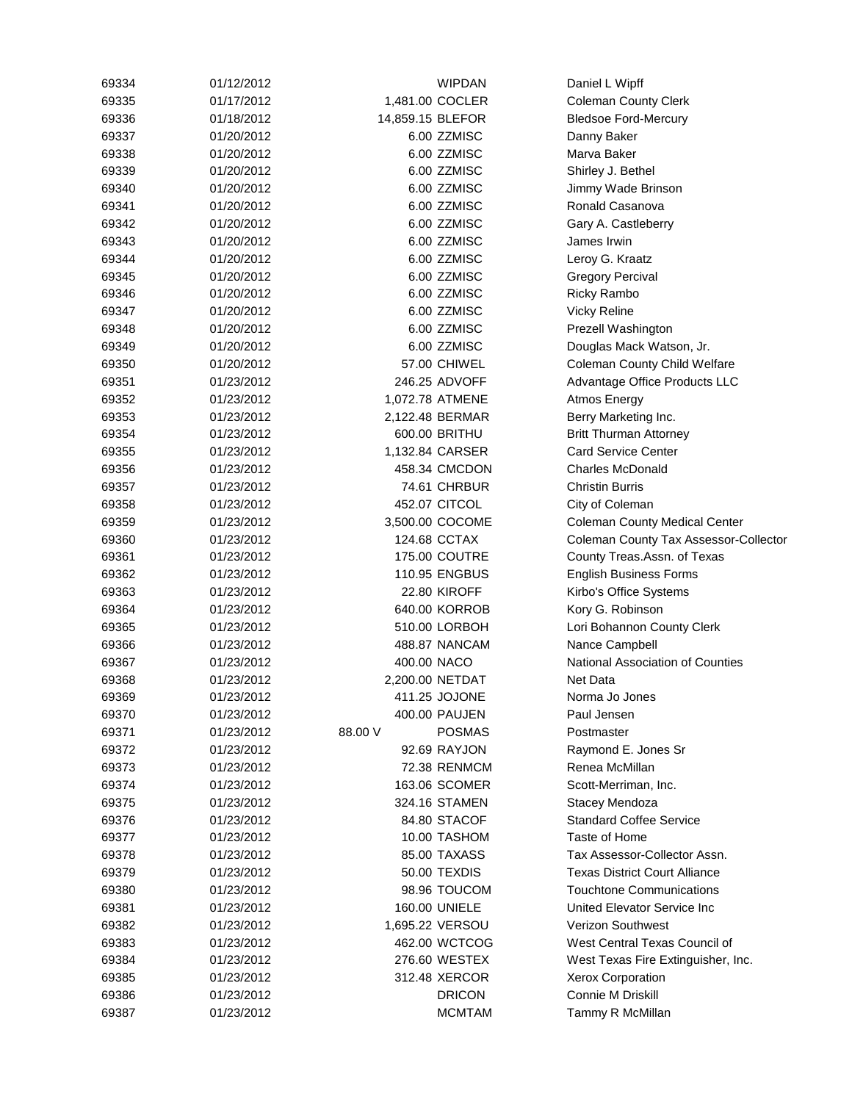| 69334 | 01/12/2012 |                  | <b>WIPDAN</b>       | Daniel L Wipff                        |
|-------|------------|------------------|---------------------|---------------------------------------|
| 69335 | 01/17/2012 |                  | 1,481.00 COCLER     | Coleman County Clerk                  |
| 69336 | 01/18/2012 | 14,859.15 BLEFOR |                     | <b>Bledsoe Ford-Mercury</b>           |
| 69337 | 01/20/2012 |                  | 6.00 ZZMISC         | Danny Baker                           |
| 69338 | 01/20/2012 |                  | 6.00 ZZMISC         | Marva Baker                           |
| 69339 | 01/20/2012 |                  | 6.00 ZZMISC         | Shirley J. Bethel                     |
| 69340 | 01/20/2012 |                  | 6.00 ZZMISC         | Jimmy Wade Brinson                    |
| 69341 | 01/20/2012 |                  | 6.00 ZZMISC         | Ronald Casanova                       |
| 69342 | 01/20/2012 |                  | 6.00 ZZMISC         | Gary A. Castleberry                   |
| 69343 | 01/20/2012 |                  | 6.00 ZZMISC         | James Irwin                           |
| 69344 | 01/20/2012 |                  | 6.00 ZZMISC         | Leroy G. Kraatz                       |
| 69345 | 01/20/2012 |                  | 6.00 ZZMISC         | <b>Gregory Percival</b>               |
| 69346 | 01/20/2012 |                  | 6.00 ZZMISC         | <b>Ricky Rambo</b>                    |
| 69347 | 01/20/2012 |                  | 6.00 ZZMISC         | <b>Vicky Reline</b>                   |
| 69348 | 01/20/2012 |                  | 6.00 ZZMISC         | Prezell Washington                    |
| 69349 | 01/20/2012 |                  | 6.00 ZZMISC         | Douglas Mack Watson, Jr.              |
| 69350 | 01/20/2012 |                  | 57.00 CHIWEL        | <b>Coleman County Child Welfare</b>   |
| 69351 | 01/23/2012 |                  | 246.25 ADVOFF       | Advantage Office Products LLC         |
| 69352 | 01/23/2012 |                  | 1,072.78 ATMENE     | Atmos Energy                          |
| 69353 | 01/23/2012 |                  | 2,122.48 BERMAR     | Berry Marketing Inc.                  |
| 69354 | 01/23/2012 |                  | 600.00 BRITHU       | <b>Britt Thurman Attorney</b>         |
|       |            |                  |                     | <b>Card Service Center</b>            |
| 69355 | 01/23/2012 |                  | 1,132.84 CARSER     |                                       |
| 69356 | 01/23/2012 |                  | 458.34 CMCDON       | <b>Charles McDonald</b>               |
| 69357 | 01/23/2012 |                  | 74.61 CHRBUR        | <b>Christin Burris</b>                |
| 69358 | 01/23/2012 |                  | 452.07 CITCOL       | City of Coleman                       |
| 69359 | 01/23/2012 |                  | 3,500.00 COCOME     | <b>Coleman County Medical Center</b>  |
| 69360 | 01/23/2012 |                  | 124.68 CCTAX        | Coleman County Tax Assessor-Collector |
| 69361 | 01/23/2012 |                  | 175.00 COUTRE       | County Treas.Assn. of Texas           |
| 69362 | 01/23/2012 |                  | 110.95 ENGBUS       | <b>English Business Forms</b>         |
| 69363 | 01/23/2012 |                  | <b>22.80 KIROFF</b> | Kirbo's Office Systems                |
| 69364 | 01/23/2012 |                  | 640.00 KORROB       | Kory G. Robinson                      |
| 69365 | 01/23/2012 |                  | 510.00 LORBOH       | Lori Bohannon County Clerk            |
| 69366 | 01/23/2012 |                  | 488.87 NANCAM       | Nance Campbell                        |
| 69367 | 01/23/2012 | 400.00 NACO      |                     | National Association of Counties      |
| 69368 | 01/23/2012 |                  | 2,200.00 NETDAT     | <b>Net Data</b>                       |
| 69369 | 01/23/2012 |                  | 411.25 JOJONE       | Norma Jo Jones                        |
| 69370 | 01/23/2012 |                  | 400.00 PAUJEN       | Paul Jensen                           |
| 69371 | 01/23/2012 | 88.00 V          | <b>POSMAS</b>       | Postmaster                            |
| 69372 | 01/23/2012 |                  | 92.69 RAYJON        | Raymond E. Jones Sr                   |
| 69373 | 01/23/2012 |                  | 72.38 RENMCM        | Renea McMillan                        |
| 69374 | 01/23/2012 |                  | 163.06 SCOMER       | Scott-Merriman, Inc.                  |
| 69375 | 01/23/2012 |                  | 324.16 STAMEN       | Stacey Mendoza                        |
| 69376 | 01/23/2012 |                  | 84.80 STACOF        | <b>Standard Coffee Service</b>        |
| 69377 | 01/23/2012 |                  | 10.00 TASHOM        | Taste of Home                         |
| 69378 | 01/23/2012 |                  | 85.00 TAXASS        | Tax Assessor-Collector Assn.          |
| 69379 | 01/23/2012 |                  | 50.00 TEXDIS        | <b>Texas District Court Alliance</b>  |
| 69380 | 01/23/2012 |                  | 98.96 TOUCOM        | <b>Touchtone Communications</b>       |
| 69381 | 01/23/2012 |                  | 160.00 UNIELE       | United Elevator Service Inc           |
| 69382 | 01/23/2012 |                  | 1,695.22 VERSOU     | Verizon Southwest                     |
| 69383 | 01/23/2012 |                  | 462.00 WCTCOG       | West Central Texas Council of         |
| 69384 | 01/23/2012 |                  | 276.60 WESTEX       | West Texas Fire Extinguisher, Inc.    |
| 69385 | 01/23/2012 |                  | 312.48 XERCOR       | Xerox Corporation                     |
| 69386 | 01/23/2012 |                  | <b>DRICON</b>       | <b>Connie M Driskill</b>              |
| 69387 | 01/23/2012 |                  | <b>MCMTAM</b>       | Tammy R McMillan                      |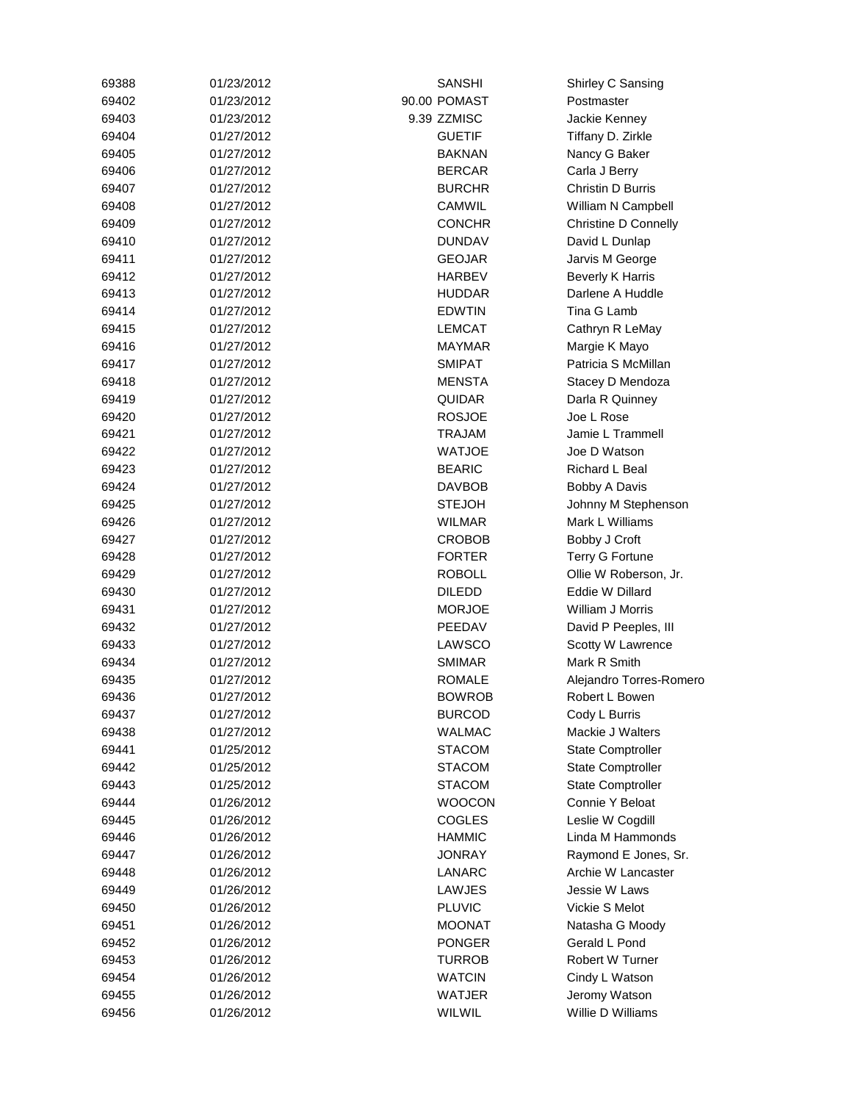| 69388 | 01/23/2012               | <b>SANSHI</b>           | Shirley C Sansing                 |
|-------|--------------------------|-------------------------|-----------------------------------|
| 69402 | 01/23/2012               | 90.00 POMAST            | Postmaster                        |
| 69403 | 01/23/2012               | 9.39 ZZMISC             | Jackie Kenney                     |
| 69404 | 01/27/2012               | <b>GUETIF</b>           | Tiffany D. Zirkle                 |
| 69405 | 01/27/2012               | <b>BAKNAN</b>           | Nancy G Baker                     |
| 69406 | 01/27/2012               | <b>BERCAR</b>           | Carla J Berry                     |
| 69407 | 01/27/2012               | <b>BURCHR</b>           | Christin D Burris                 |
| 69408 | 01/27/2012               | CAMWIL                  | William N Campbell                |
| 69409 | 01/27/2012               | <b>CONCHR</b>           | <b>Christine D Connelly</b>       |
| 69410 | 01/27/2012               | <b>DUNDAV</b>           | David L Dunlap                    |
| 69411 | 01/27/2012               | <b>GEOJAR</b>           | Jarvis M George                   |
| 69412 | 01/27/2012               | <b>HARBEV</b>           | <b>Beverly K Harris</b>           |
| 69413 | 01/27/2012               | HUDDAR                  | Darlene A Huddle                  |
| 69414 | 01/27/2012               | <b>EDWTIN</b>           | Tina G Lamb                       |
| 69415 | 01/27/2012               | <b>LEMCAT</b>           | Cathryn R LeMay                   |
| 69416 | 01/27/2012               | MAYMAR                  | Margie K Mayo                     |
| 69417 | 01/27/2012               | <b>SMIPAT</b>           | Patricia S McMillan               |
| 69418 | 01/27/2012               | <b>MENSTA</b>           | Stacey D Mendoza                  |
| 69419 | 01/27/2012               | <b>QUIDAR</b>           | Darla R Quinney                   |
| 69420 | 01/27/2012               | <b>ROSJOE</b>           | Joe L Rose                        |
| 69421 | 01/27/2012               | TRAJAM                  | Jamie L Trammell                  |
| 69422 | 01/27/2012               | <b>WATJOE</b>           | Joe D Watson                      |
| 69423 | 01/27/2012               | <b>BEARIC</b>           | Richard L Beal                    |
| 69424 | 01/27/2012               | <b>DAVBOB</b>           | Bobby A Davis                     |
| 69425 | 01/27/2012               | <b>STEJOH</b>           | Johnny M Stephenson               |
| 69426 | 01/27/2012               | <b>WILMAR</b>           | Mark L Williams                   |
| 69427 | 01/27/2012               | CROBOB                  | Bobby J Croft                     |
| 69428 | 01/27/2012               | <b>FORTER</b>           | <b>Terry G Fortune</b>            |
| 69429 | 01/27/2012               | <b>ROBOLL</b>           | Ollie W Roberson, Jr.             |
| 69430 | 01/27/2012               | <b>DILEDD</b>           | Eddie W Dillard                   |
|       |                          |                         | William J Morris                  |
| 69431 | 01/27/2012<br>01/27/2012 | <b>MORJOE</b><br>PEEDAV |                                   |
| 69432 |                          |                         | David P Peeples, III              |
| 69433 | 01/27/2012               | LAWSCO<br>SMIMAR        | Scotty W Lawrence<br>Mark R Smith |
| 69434 | 01/27/2012               |                         |                                   |
| 69435 | 01/27/2012               | <b>ROMALE</b>           | Alejandro Torres-Romero           |
| 69436 | 01/27/2012               | <b>BOWROB</b>           | Robert L Bowen                    |
| 69437 | 01/27/2012               | <b>BURCOD</b>           | Cody L Burris                     |
| 69438 | 01/27/2012               | <b>WALMAC</b>           | Mackie J Walters                  |
| 69441 | 01/25/2012               | <b>STACOM</b>           | <b>State Comptroller</b>          |
| 69442 | 01/25/2012               | <b>STACOM</b>           | <b>State Comptroller</b>          |
| 69443 | 01/25/2012               | <b>STACOM</b>           | <b>State Comptroller</b>          |
| 69444 | 01/26/2012               | <b>WOOCON</b>           | Connie Y Beloat                   |
| 69445 | 01/26/2012               | <b>COGLES</b>           | Leslie W Cogdill                  |
| 69446 | 01/26/2012               | <b>HAMMIC</b>           | Linda M Hammonds                  |
| 69447 | 01/26/2012               | <b>JONRAY</b>           | Raymond E Jones, Sr.              |
| 69448 | 01/26/2012               | LANARC                  | Archie W Lancaster                |
| 69449 | 01/26/2012               | LAWJES                  | Jessie W Laws                     |
| 69450 | 01/26/2012               | <b>PLUVIC</b>           | Vickie S Melot                    |
| 69451 | 01/26/2012               | <b>MOONAT</b>           | Natasha G Moody                   |
| 69452 | 01/26/2012               | <b>PONGER</b>           | Gerald L Pond                     |
| 69453 | 01/26/2012               | <b>TURROB</b>           | <b>Robert W Turner</b>            |
| 69454 | 01/26/2012               | <b>WATCIN</b>           | Cindy L Watson                    |
| 69455 | 01/26/2012               | WATJER                  | Jeromy Watson                     |
| 69456 | 01/26/2012               | WILWIL                  | Willie D Williams                 |